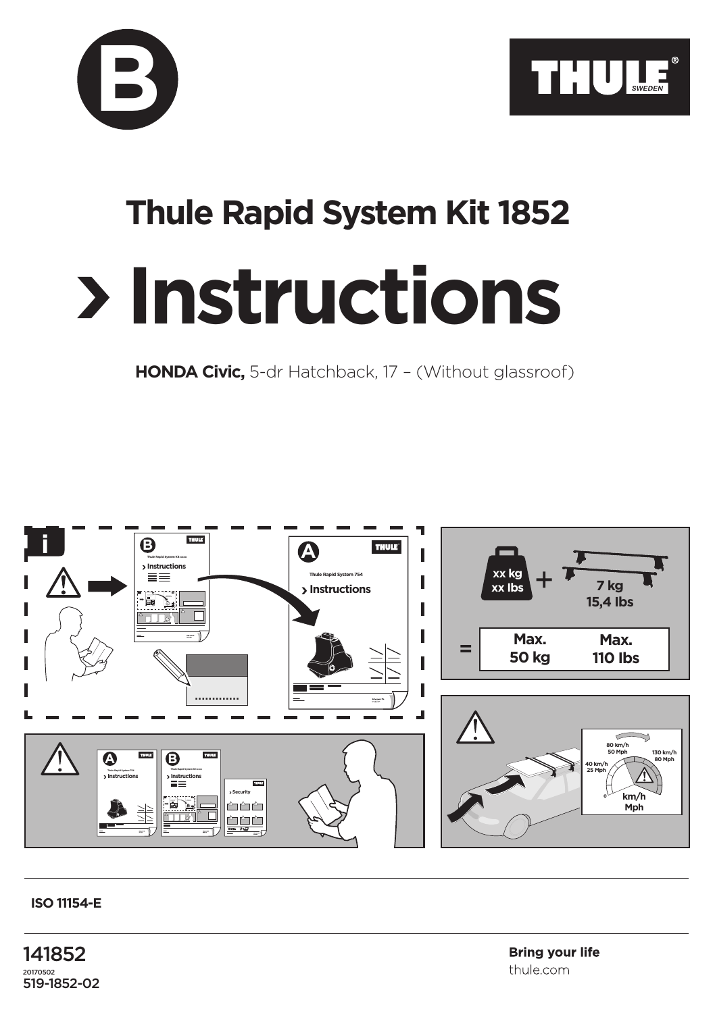



## **Thule Rapid System Kit 1852**

## **Instructions**

**HONDA Civic,** 5-dr Hatchback, 17 – (Without glassroof)



## **ISO 11154-E**

141852 20170502 519-1852-02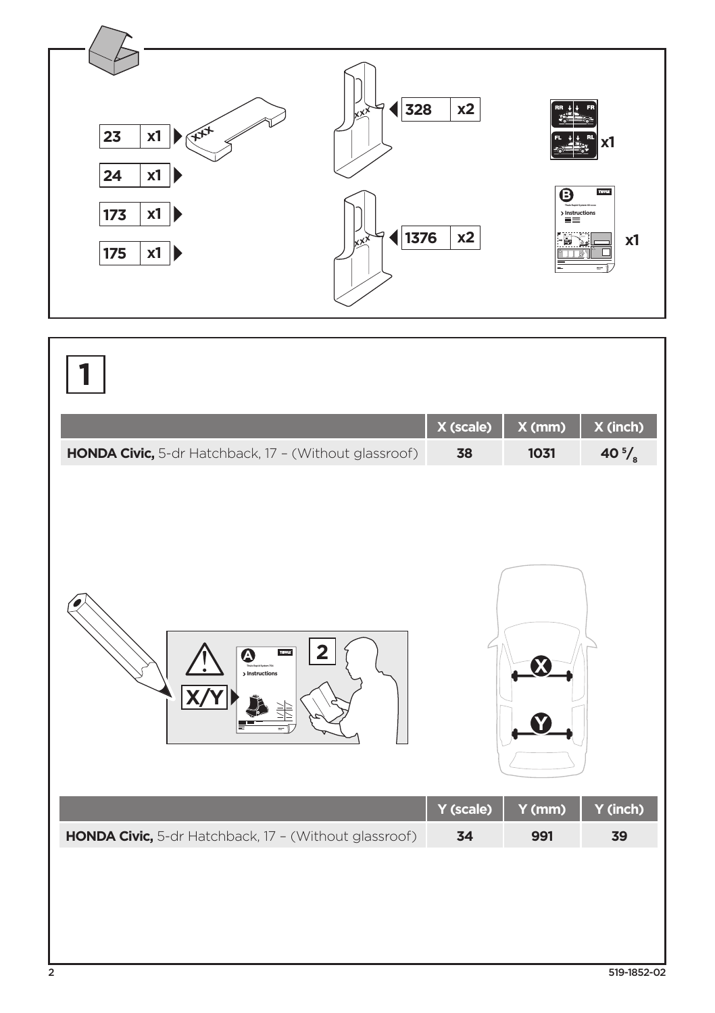

|                                                       | X (scale) | X (mm) | X (inch)         |
|-------------------------------------------------------|-----------|--------|------------------|
| HONDA Civic, 5-dr Hatchback, 17 - (Without glassroof) | 38        | 1031   | 40 $\frac{5}{s}$ |
| 2<br>THULE<br>❹<br>> Instructions                     |           |        |                  |
|                                                       | Y (scale) | Y (mm) | Y (inch)         |
| HONDA Civic, 5-dr Hatchback, 17 - (Without glassroof) | 34        | 991    | 39               |
|                                                       |           |        |                  |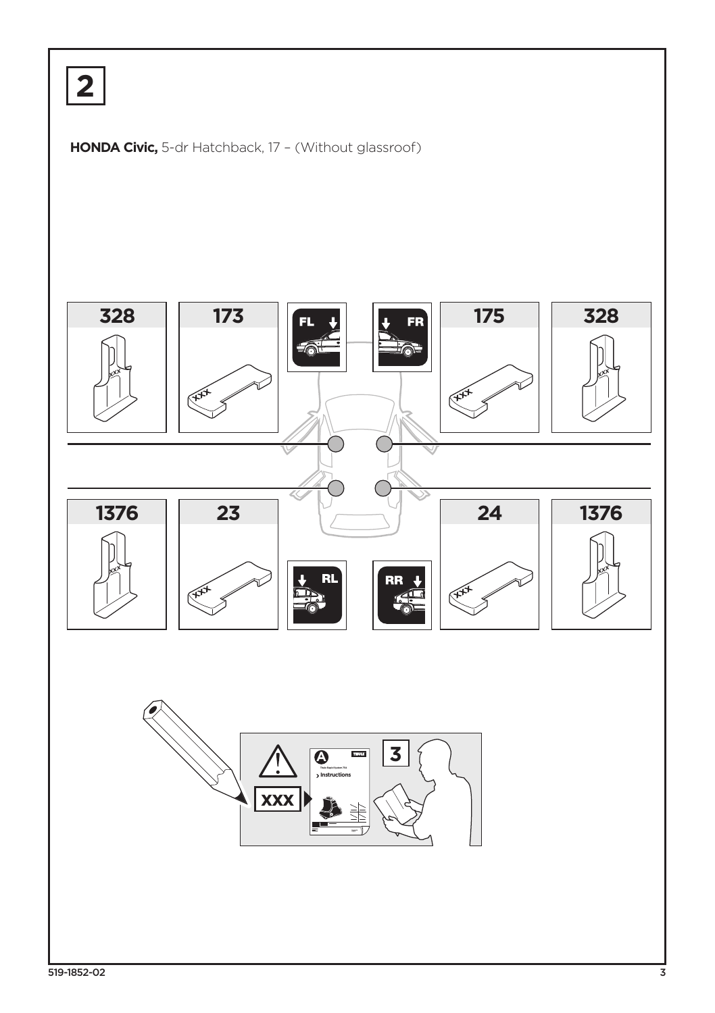